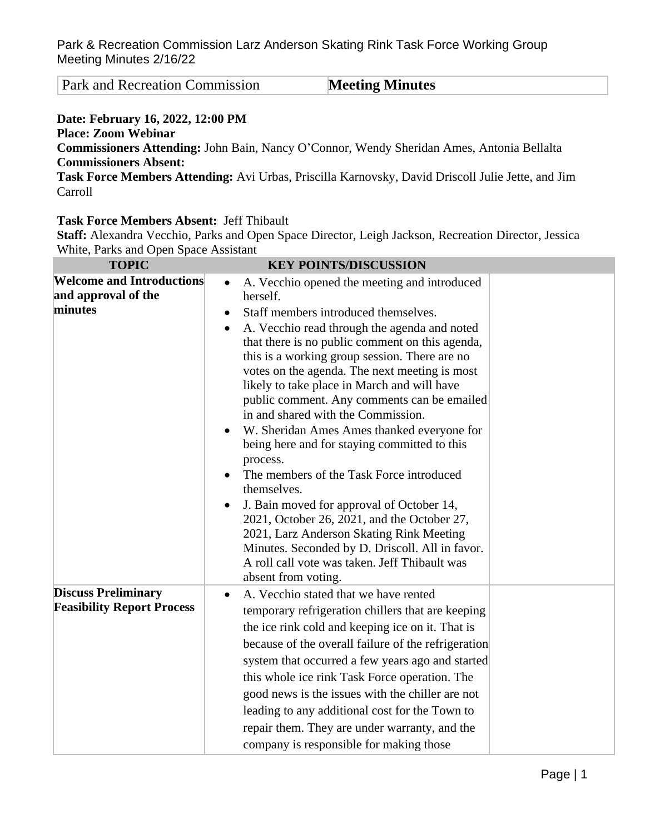Park and Recreation Commission **Meeting Minutes** 

## **Date: February 16, 2022, 12:00 PM Place: Zoom Webinar**

**Commissioners Attending:** John Bain, Nancy O'Connor, Wendy Sheridan Ames, Antonia Bellalta **Commissioners Absent:**

**Task Force Members Attending:** Avi Urbas, Priscilla Karnovsky, David Driscoll Julie Jette, and Jim Carroll

## **Task Force Members Absent:** Jeff Thibault

**Staff:** Alexandra Vecchio, Parks and Open Space Director, Leigh Jackson, Recreation Director, Jessica White, Parks and Open Space Assistant

| <b>TOPIC</b>                                                       | <b>KEY POINTS/DISCUSSION</b>                                                                                                                                                                                                                                                                                                                                                                                                                                                                                                                                                                                                                                                                                                                                                                                                                                                                                             |
|--------------------------------------------------------------------|--------------------------------------------------------------------------------------------------------------------------------------------------------------------------------------------------------------------------------------------------------------------------------------------------------------------------------------------------------------------------------------------------------------------------------------------------------------------------------------------------------------------------------------------------------------------------------------------------------------------------------------------------------------------------------------------------------------------------------------------------------------------------------------------------------------------------------------------------------------------------------------------------------------------------|
| <b>Welcome and Introductions</b><br>and approval of the<br>minutes | A. Vecchio opened the meeting and introduced<br>$\bullet$<br>herself.<br>Staff members introduced themselves.<br>$\bullet$<br>A. Vecchio read through the agenda and noted<br>$\bullet$<br>that there is no public comment on this agenda,<br>this is a working group session. There are no<br>votes on the agenda. The next meeting is most<br>likely to take place in March and will have<br>public comment. Any comments can be emailed<br>in and shared with the Commission.<br>W. Sheridan Ames Ames thanked everyone for<br>being here and for staying committed to this<br>process.<br>The members of the Task Force introduced<br>themselves.<br>J. Bain moved for approval of October 14,<br>2021, October 26, 2021, and the October 27,<br>2021, Larz Anderson Skating Rink Meeting<br>Minutes. Seconded by D. Driscoll. All in favor.<br>A roll call vote was taken. Jeff Thibault was<br>absent from voting. |
| <b>Discuss Preliminary</b><br><b>Feasibility Report Process</b>    | A. Vecchio stated that we have rented<br>temporary refrigeration chillers that are keeping<br>the ice rink cold and keeping ice on it. That is<br>because of the overall failure of the refrigeration<br>system that occurred a few years ago and started<br>this whole ice rink Task Force operation. The<br>good news is the issues with the chiller are not<br>leading to any additional cost for the Town to<br>repair them. They are under warranty, and the<br>company is responsible for making those                                                                                                                                                                                                                                                                                                                                                                                                             |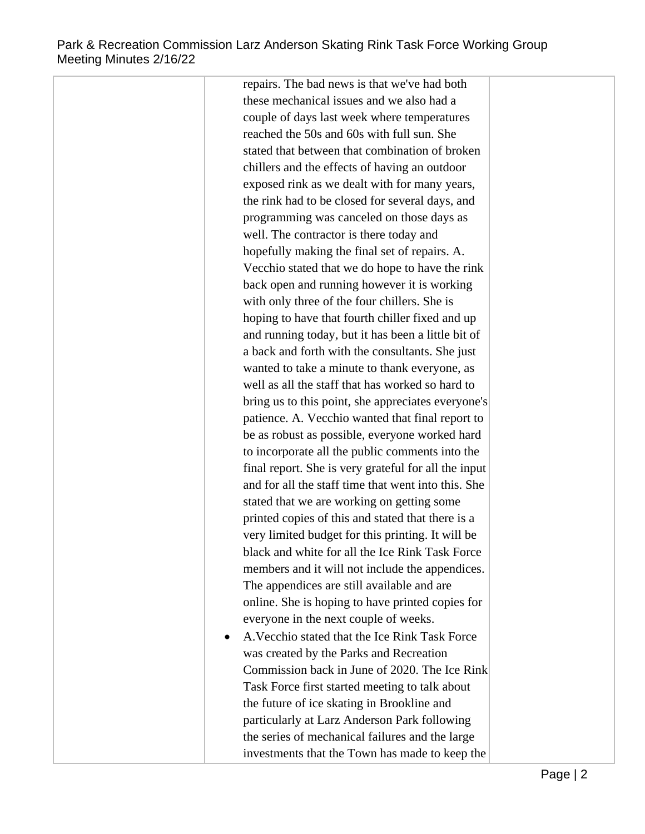repairs. The bad news is that we've had both these mechanical issues and we also had a couple of days last week where temperatures reached the 50s and 60s with full sun. She stated that between that combination of broken chillers and the effects of having an outdoor exposed rink as we dealt with for many years, the rink had to be closed for several days, and programming was canceled on those days as well. The contractor is there today and hopefully making the final set of repairs. A. Vecchio stated that we do hope to have the rink back open and running however it is working with only three of the four chillers. She is hoping to have that fourth chiller fixed and up and running today, but it has been a little bit of a back and forth with the consultants. She just wanted to take a minute to thank everyone, as well as all the staff that has worked so hard to bring us to this point, she appreciates everyone's patience. A. Vecchio wanted that final report to be as robust as possible, everyone worked hard to incorporate all the public comments into the final report. She is very grateful for all the input and for all the staff time that went into this. She stated that we are working on getting some printed copies of this and stated that there is a very limited budget for this printing. It will be black and white for all the Ice Rink Task Force members and it will not include the appendices. The appendices are still available and are online. She is hoping to have printed copies for everyone in the next couple of weeks. A.Vecchio stated that the Ice Rink Task Force was created by the Parks and Recreation Commission back in June of 2020. The Ice Rink

Task Force first started meeting to talk about the future of ice skating in Brookline and particularly at Larz Anderson Park following the series of mechanical failures and the large investments that the Town has made to keep the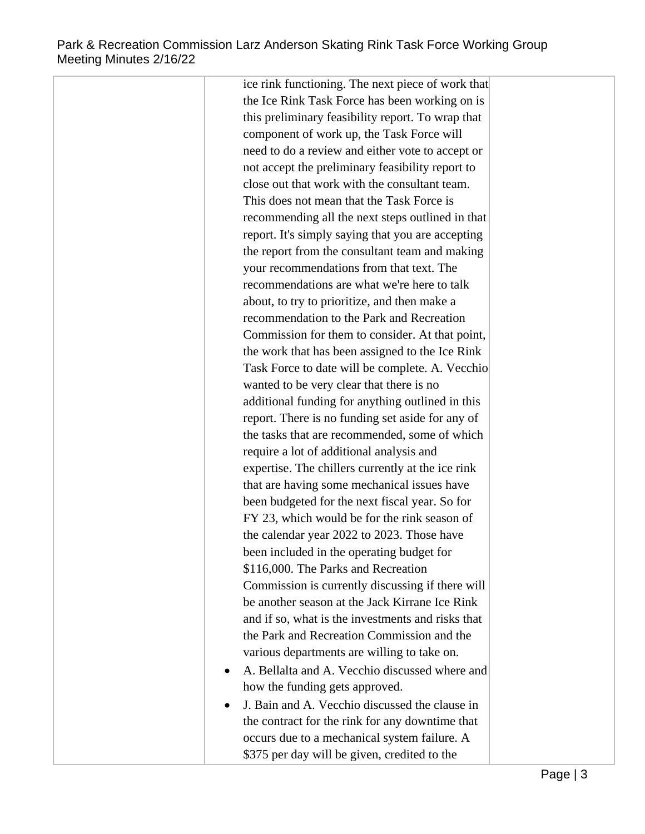ice rink functioning. The next piece of work that the Ice Rink Task Force has been working on is this preliminary feasibility report. To wrap that component of work up, the Task Force will need to do a review and either vote to accept or not accept the preliminary feasibility report to close out that work with the consultant team. This does not mean that the Task Force is recommending all the next steps outlined in that report. It's simply saying that you are accepting the report from the consultant team and making your recommendations from that text. The recommendations are what we're here to talk about, to try to prioritize, and then make a recommendation to the Park and Recreation Commission for them to consider. At that point, the work that has been assigned to the Ice Rink Task Force to date will be complete. A. Vecchio wanted to be very clear that there is no additional funding for anything outlined in this report. There is no funding set aside for any of the tasks that are recommended, some of which require a lot of additional analysis and expertise. The chillers currently at the ice rink that are having some mechanical issues have been budgeted for the next fiscal year. So for FY 23, which would be for the rink season of the calendar year 2022 to 2023. Those have been included in the operating budget for \$116,000. The Parks and Recreation Commission is currently discussing if there will be another season at the Jack Kirrane Ice Rink and if so, what is the investments and risks that the Park and Recreation Commission and the various departments are willing to take on. A. Bellalta and A. Vecchio discussed where and how the funding gets approved. J. Bain and A. Vecchio discussed the clause in the contract for the rink for any downtime that occurs due to a mechanical system failure. A

\$375 per day will be given, credited to the

Page | 3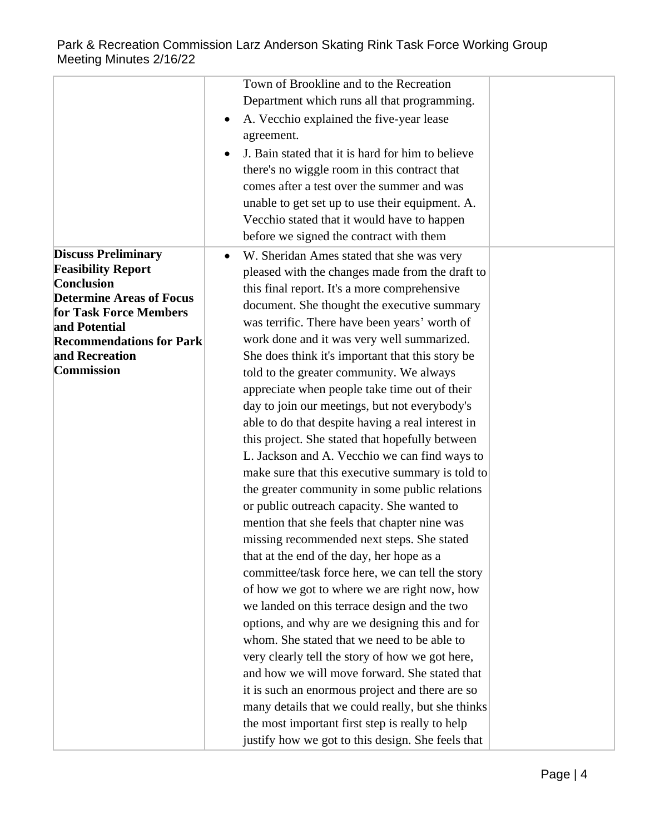|                                         | Town of Brookline and to the Recreation                        |  |
|-----------------------------------------|----------------------------------------------------------------|--|
|                                         | Department which runs all that programming.                    |  |
|                                         | A. Vecchio explained the five-year lease<br>٠                  |  |
|                                         | agreement.                                                     |  |
|                                         | J. Bain stated that it is hard for him to believe<br>$\bullet$ |  |
|                                         | there's no wiggle room in this contract that                   |  |
|                                         | comes after a test over the summer and was                     |  |
|                                         | unable to get set up to use their equipment. A.                |  |
|                                         | Vecchio stated that it would have to happen                    |  |
|                                         | before we signed the contract with them                        |  |
| <b>Discuss Preliminary</b>              | W. Sheridan Ames stated that she was very<br>$\bullet$         |  |
| <b>Feasibility Report</b>               | pleased with the changes made from the draft to                |  |
| <b>Conclusion</b>                       | this final report. It's a more comprehensive                   |  |
| <b>Determine Areas of Focus</b>         | document. She thought the executive summary                    |  |
| for Task Force Members<br>and Potential | was terrific. There have been years' worth of                  |  |
| <b>Recommendations for Park</b>         | work done and it was very well summarized.                     |  |
| and Recreation                          | She does think it's important that this story be               |  |
| Commission                              | told to the greater community. We always                       |  |
|                                         | appreciate when people take time out of their                  |  |
|                                         | day to join our meetings, but not everybody's                  |  |
|                                         | able to do that despite having a real interest in              |  |
|                                         | this project. She stated that hopefully between                |  |
|                                         | L. Jackson and A. Vecchio we can find ways to                  |  |
|                                         | make sure that this executive summary is told to               |  |
|                                         | the greater community in some public relations                 |  |
|                                         | or public outreach capacity. She wanted to                     |  |
|                                         | mention that she feels that chapter nine was                   |  |
|                                         | missing recommended next steps. She stated                     |  |
|                                         | that at the end of the day, her hope as a                      |  |
|                                         | committee/task force here, we can tell the story               |  |
|                                         | of how we got to where we are right now, how                   |  |
|                                         | we landed on this terrace design and the two                   |  |
|                                         | options, and why are we designing this and for                 |  |
|                                         | whom. She stated that we need to be able to                    |  |
|                                         | very clearly tell the story of how we got here,                |  |
|                                         | and how we will move forward. She stated that                  |  |
|                                         | it is such an enormous project and there are so                |  |
|                                         | many details that we could really, but she thinks              |  |
|                                         | the most important first step is really to help                |  |
|                                         | justify how we got to this design. She feels that              |  |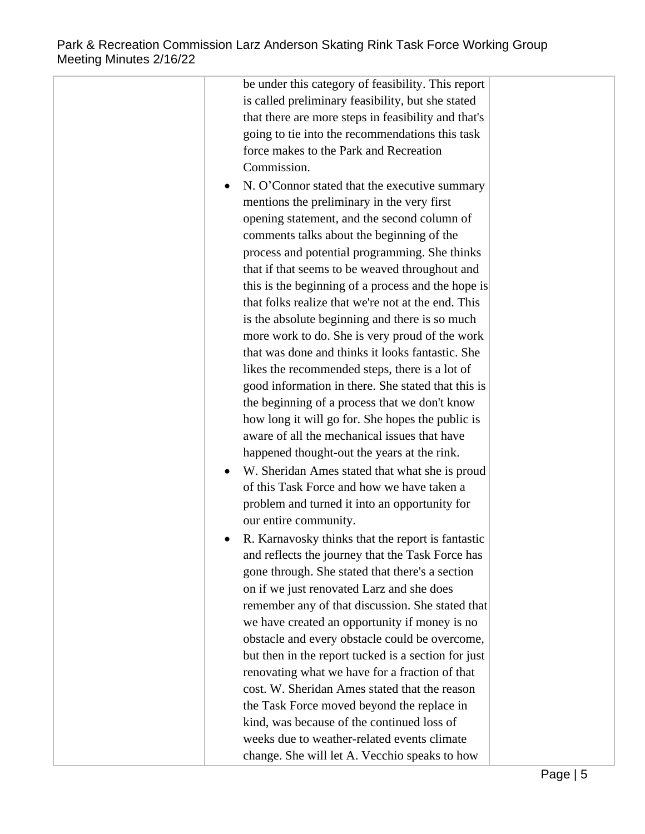be under this category of feasibility. This report is called preliminary feasibility, but she stated that there are more steps in feasibility and that's going to tie into the recommendations this task force makes to the Park and Recreation Commission. N. O'Connor stated that the executive summary mentions the preliminary in the very first opening statement, and the second column of comments talks about the beginning of the process and potential programming. She thinks that if that seems to be weaved throughout and this is the beginning of a process and the hope is that folks realize that we're not at the end. This is the absolute beginning and there is so much more work to do. She is very proud of the work that was done and thinks it looks fantastic. She likes the recommended steps, there is a lot of good information in there. She stated that this is the beginning of a process that we don't know how long it will go for. She hopes the public is aware of all the mechanical issues that have happened thought-out the years at the rink. W. Sheridan Ames stated that what she is proud of this Task Force and how we have taken a problem and turned it into an opportunity for our entire community. R. Karnavosky thinks that the report is fantastic and reflects the journey that the Task Force has gone through. She stated that there's a section on if we just renovated Larz and she does remember any of that discussion. She stated that we have created an opportunity if money is no obstacle and every obstacle could be overcome, but then in the report tucked is a section for just renovating what we have for a fraction of that cost. W. Sheridan Ames stated that the reason the Task Force moved beyond the replace in kind, was because of the continued loss of weeks due to weather-related events climate change. She will let A. Vecchio speaks to how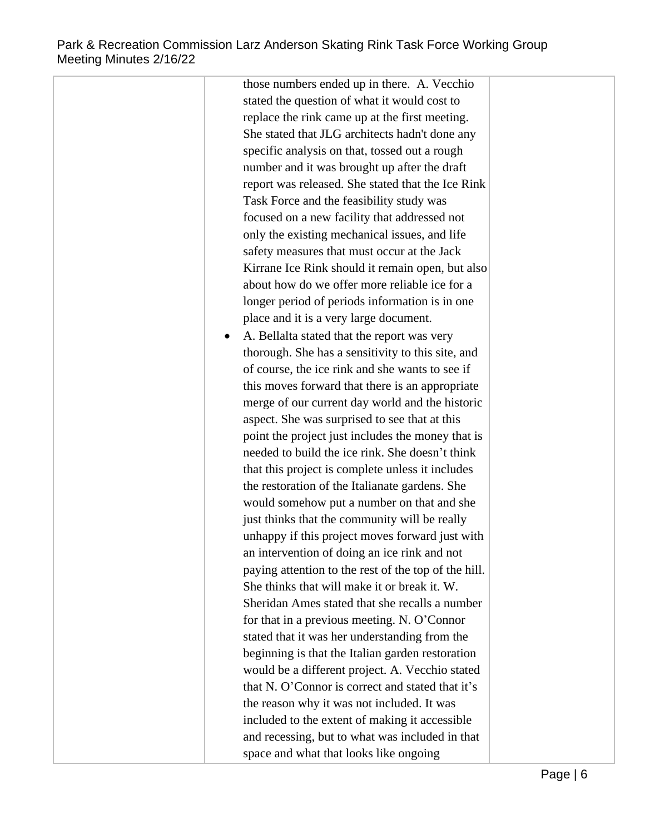those numbers ended up in there. A. Vecchio stated the question of what it would cost to replace the rink came up at the first meeting. She stated that JLG architects hadn't done any specific analysis on that, tossed out a rough number and it was brought up after the draft report was released. She stated that the Ice Rink Task Force and the feasibility study was focused on a new facility that addressed not only the existing mechanical issues, and life safety measures that must occur at the Jack Kirrane Ice Rink should it remain open, but also about how do we offer more reliable ice for a longer period of periods information is in one place and it is a very large document. A. Bellalta stated that the report was very thorough. She has a sensitivity to this site, and of course, the ice rink and she wants to see if this moves forward that there is an appropriate merge of our current day world and the historic aspect. She was surprised to see that at this point the project just includes the money that is needed to build the ice rink. She doesn't think that this project is complete unless it includes the restoration of the Italianate gardens. She would somehow put a number on that and she just thinks that the community will be really unhappy if this project moves forward just with an intervention of doing an ice rink and not paying attention to the rest of the top of the hill. She thinks that will make it or break it. W. Sheridan Ames stated that she recalls a number for that in a previous meeting. N. O'Connor stated that it was her understanding from the beginning is that the Italian garden restoration would be a different project. A. Vecchio stated that N. O'Connor is correct and stated that it's the reason why it was not included. It was included to the extent of making it accessible and recessing, but to what was included in that space and what that looks like ongoing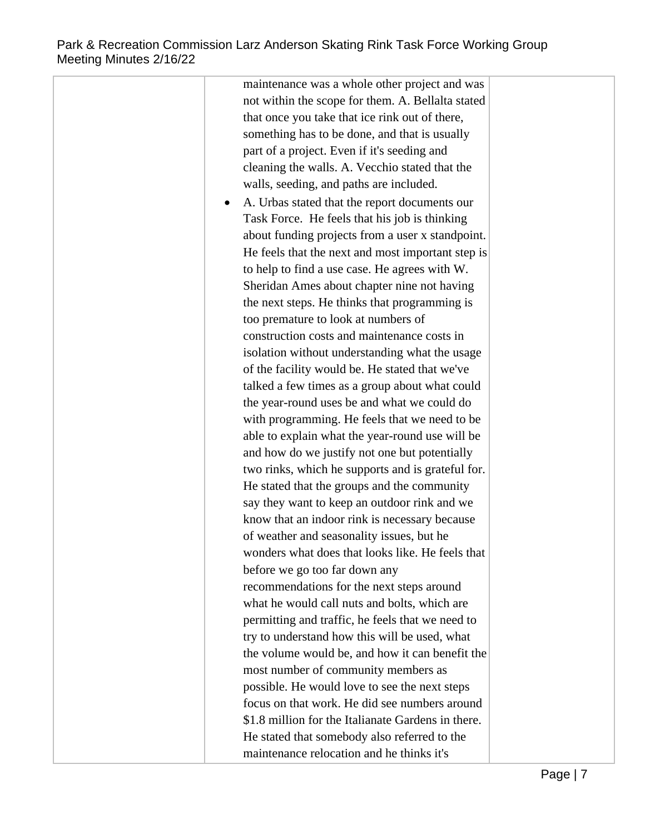maintenance was a whole other project and was not within the scope for them. A. Bellalta stated that once you take that ice rink out of there, something has to be done, and that is usually part of a project. Even if it's seeding and cleaning the walls. A. Vecchio stated that the walls, seeding, and paths are included. A. Urbas stated that the report documents our Task Force. He feels that his job is thinking about funding projects from a user x standpoint. He feels that the next and most important step is to help to find a use case. He agrees with W. Sheridan Ames about chapter nine not having the next steps. He thinks that programming is too premature to look at numbers of construction costs and maintenance costs in isolation without understanding what the usage of the facility would be. He stated that we've talked a few times as a group about what could the year-round uses be and what we could do with programming. He feels that we need to be able to explain what the year-round use will be and how do we justify not one but potentially two rinks, which he supports and is grateful for. He stated that the groups and the community say they want to keep an outdoor rink and we know that an indoor rink is necessary because of weather and seasonality issues, but he wonders what does that looks like. He feels that before we go too far down any recommendations for the next steps around what he would call nuts and bolts, which are permitting and traffic, he feels that we need to try to understand how this will be used, what the volume would be, and how it can benefit the most number of community members as possible. He would love to see the next steps focus on that work. He did see numbers around \$1.8 million for the Italianate Gardens in there. He stated that somebody also referred to the maintenance relocation and he thinks it's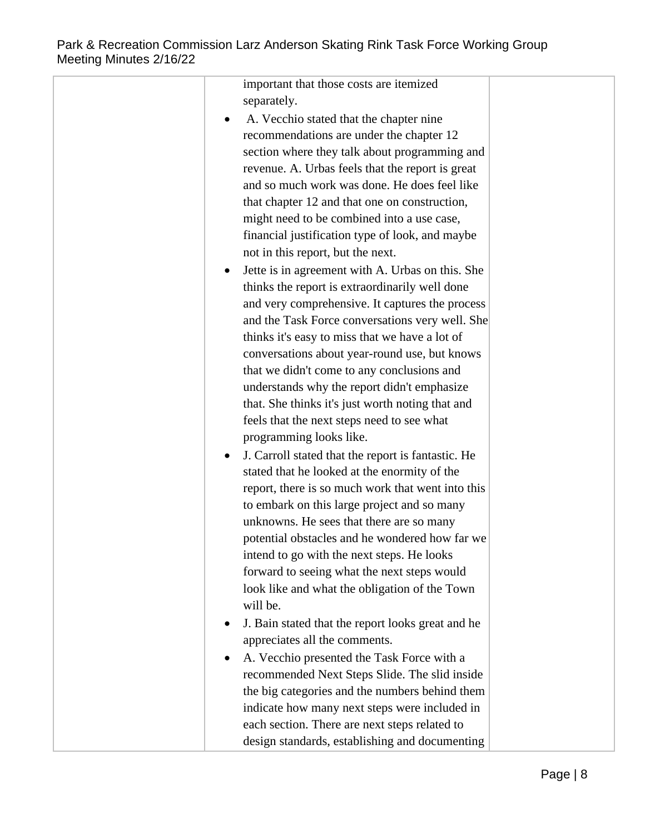| important that those costs are itemized                       |  |
|---------------------------------------------------------------|--|
| separately.                                                   |  |
| A. Vecchio stated that the chapter nine                       |  |
| recommendations are under the chapter 12                      |  |
| section where they talk about programming and                 |  |
| revenue. A. Urbas feels that the report is great              |  |
| and so much work was done. He does feel like                  |  |
| that chapter 12 and that one on construction,                 |  |
| might need to be combined into a use case,                    |  |
| financial justification type of look, and maybe               |  |
| not in this report, but the next.                             |  |
| Jette is in agreement with A. Urbas on this. She<br>$\bullet$ |  |
| thinks the report is extraordinarily well done                |  |
| and very comprehensive. It captures the process               |  |
| and the Task Force conversations very well. She               |  |
| thinks it's easy to miss that we have a lot of                |  |
| conversations about year-round use, but knows                 |  |
| that we didn't come to any conclusions and                    |  |
| understands why the report didn't emphasize                   |  |
| that. She thinks it's just worth noting that and              |  |
| feels that the next steps need to see what                    |  |
| programming looks like.                                       |  |
| J. Carroll stated that the report is fantastic. He            |  |
| stated that he looked at the enormity of the                  |  |
| report, there is so much work that went into this             |  |
| to embark on this large project and so many                   |  |
| unknowns. He sees that there are so many                      |  |
| potential obstacles and he wondered how far we                |  |
| intend to go with the next steps. He looks                    |  |
| forward to seeing what the next steps would                   |  |
| look like and what the obligation of the Town                 |  |
| will be.                                                      |  |
| J. Bain stated that the report looks great and he             |  |
| appreciates all the comments.                                 |  |
| A. Vecchio presented the Task Force with a                    |  |
| recommended Next Steps Slide. The slid inside                 |  |
| the big categories and the numbers behind them                |  |
| indicate how many next steps were included in                 |  |
| each section. There are next steps related to                 |  |
| design standards, establishing and documenting                |  |
|                                                               |  |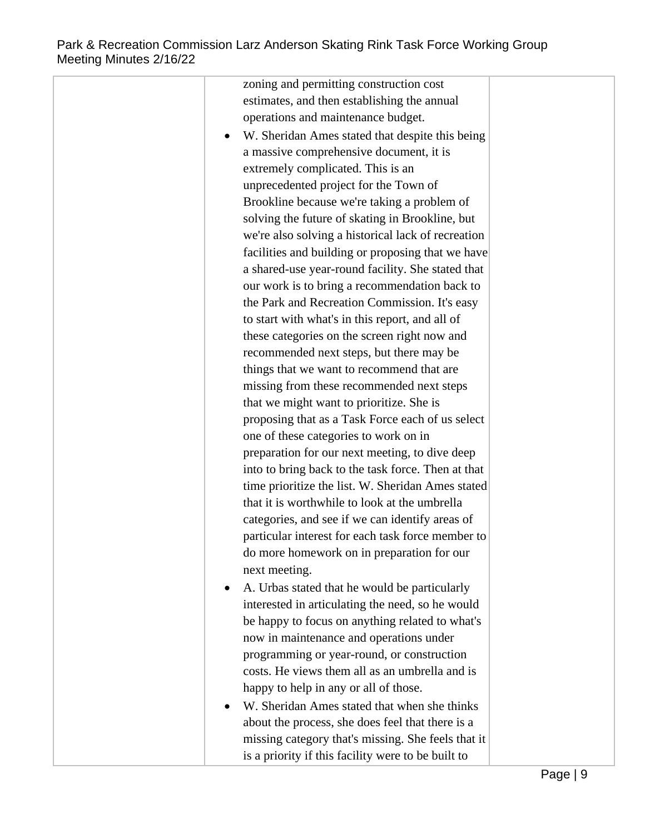| zoning and permitting construction cost            |
|----------------------------------------------------|
| estimates, and then establishing the annual        |
| operations and maintenance budget.                 |
| W. Sheridan Ames stated that despite this being    |
| a massive comprehensive document, it is            |
| extremely complicated. This is an                  |
| unprecedented project for the Town of              |
| Brookline because we're taking a problem of        |
| solving the future of skating in Brookline, but    |
| we're also solving a historical lack of recreation |
| facilities and building or proposing that we have  |
| a shared-use year-round facility. She stated that  |
| our work is to bring a recommendation back to      |
| the Park and Recreation Commission. It's easy      |
| to start with what's in this report, and all of    |
| these categories on the screen right now and       |
| recommended next steps, but there may be           |
| things that we want to recommend that are          |
| missing from these recommended next steps          |
| that we might want to prioritize. She is           |
| proposing that as a Task Force each of us select   |
| one of these categories to work on in              |
| preparation for our next meeting, to dive deep     |
| into to bring back to the task force. Then at that |
| time prioritize the list. W. Sheridan Ames stated  |
| that it is worthwhile to look at the umbrella      |
| categories, and see if we can identify areas of    |
| particular interest for each task force member to  |
| do more homework on in preparation for our         |
| next meeting.                                      |
| A. Urbas stated that he would be particularly      |
| interested in articulating the need, so he would   |
| be happy to focus on anything related to what's    |
| now in maintenance and operations under            |
| programming or year-round, or construction         |
| costs. He views them all as an umbrella and is     |
| happy to help in any or all of those.              |
| W. Sheridan Ames stated that when she thinks       |
| about the process, she does feel that there is a   |
| missing category that's missing. She feels that it |
| is a priority if this facility were to be built to |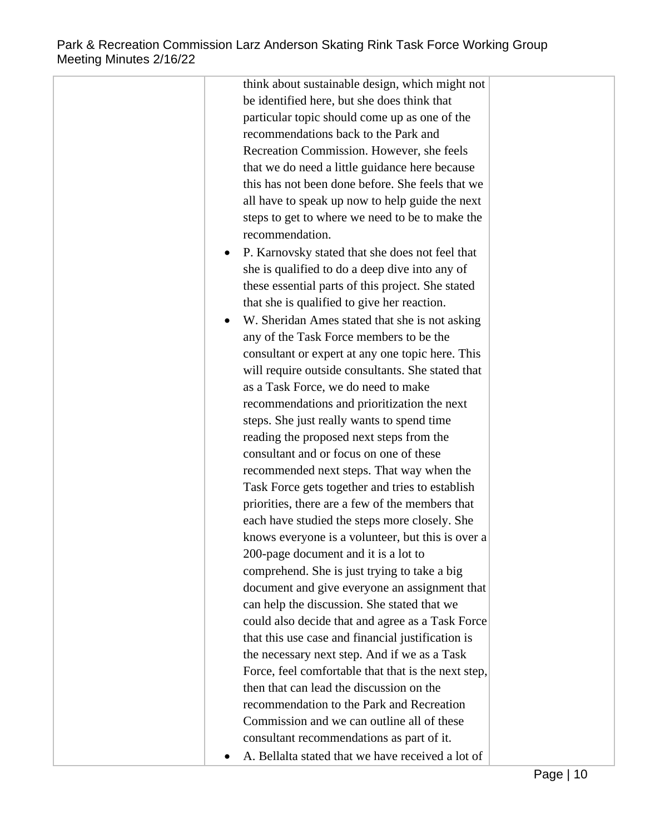| be identified here, but she does think that                  |  |
|--------------------------------------------------------------|--|
| particular topic should come up as one of the                |  |
| recommendations back to the Park and                         |  |
| Recreation Commission. However, she feels                    |  |
| that we do need a little guidance here because               |  |
| this has not been done before. She feels that we             |  |
| all have to speak up now to help guide the next              |  |
| steps to get to where we need to be to make the              |  |
| recommendation.                                              |  |
| P. Karnovsky stated that she does not feel that<br>$\bullet$ |  |
| she is qualified to do a deep dive into any of               |  |
| these essential parts of this project. She stated            |  |
| that she is qualified to give her reaction.                  |  |
| W. Sheridan Ames stated that she is not asking<br>$\bullet$  |  |
| any of the Task Force members to be the                      |  |
| consultant or expert at any one topic here. This             |  |
| will require outside consultants. She stated that            |  |
| as a Task Force, we do need to make                          |  |
| recommendations and prioritization the next                  |  |
| steps. She just really wants to spend time                   |  |
| reading the proposed next steps from the                     |  |
| consultant and or focus on one of these                      |  |
| recommended next steps. That way when the                    |  |
| Task Force gets together and tries to establish              |  |
| priorities, there are a few of the members that              |  |
| each have studied the steps more closely. She                |  |
| knows everyone is a volunteer, but this is over a            |  |
| 200-page document and it is a lot to                         |  |
| comprehend. She is just trying to take a big                 |  |
| document and give everyone an assignment that                |  |
| can help the discussion. She stated that we                  |  |
| could also decide that and agree as a Task Force             |  |
| that this use case and financial justification is            |  |
| the necessary next step. And if we as a Task                 |  |
| Force, feel comfortable that that is the next step,          |  |
| then that can lead the discussion on the                     |  |
| recommendation to the Park and Recreation                    |  |
| Commission and we can outline all of these                   |  |
| consultant recommendations as part of it.                    |  |
| A. Bellalta stated that we have received a lot of            |  |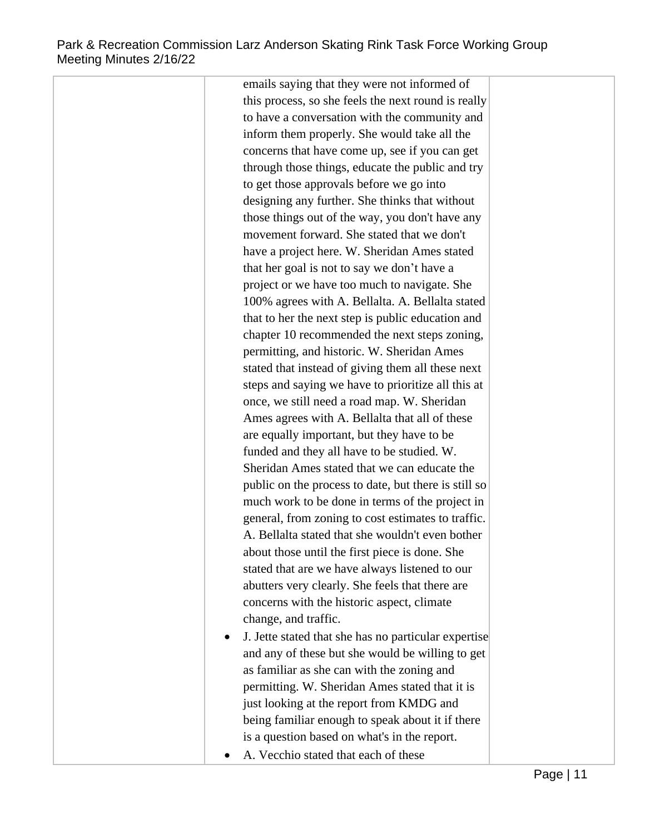## Park & Recreation Commission Larz Anderson Skating Rink Task Force Working Group Meeting Minutes 2/16/22

emails saying that they were not informed of this process, so she feels the next round is really to have a conversation with the community and inform them properly. She would take all the concerns that have come up, see if you can get through those things, educate the public and try to get those approvals before we go into designing any further. She thinks that without those things out of the way, you don't have any movement forward. She stated that we don't have a project here. W. Sheridan Ames stated that her goal is not to say we don't have a project or we have too much to navigate. She 100% agrees with A. Bellalta. A. Bellalta stated that to her the next step is public education and chapter 10 recommended the next steps zoning, permitting, and historic. W. Sheridan Ames stated that instead of giving them all these next steps and saying we have to prioritize all this at once, we still need a road map. W. Sheridan Ames agrees with A. Bellalta that all of these are equally important, but they have to be funded and they all have to be studied. W. Sheridan Ames stated that we can educate the public on the process to date, but there is still so much work to be done in terms of the project in general, from zoning to cost estimates to traffic. A. Bellalta stated that she wouldn't even bother about those until the first piece is done. She stated that are we have always listened to our abutters very clearly. She feels that there are concerns with the historic aspect, climate change, and traffic. J. Jette stated that she has no particular expertise and any of these but she would be willing to get as familiar as she can with the zoning and permitting. W. Sheridan Ames stated that it is just looking at the report from KMDG and being familiar enough to speak about it if there is a question based on what's in the report.

A. Vecchio stated that each of these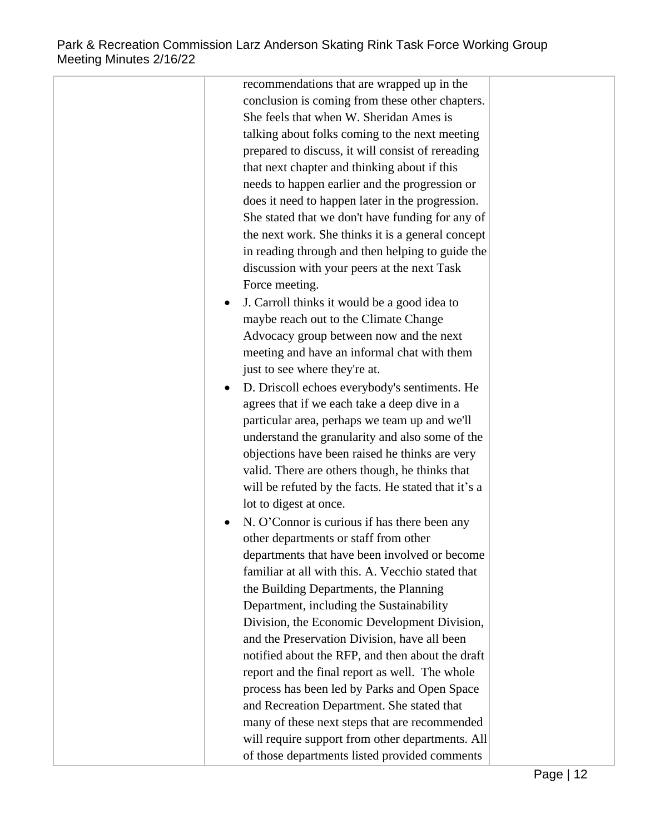| recommendations that are wrapped up in the          |  |
|-----------------------------------------------------|--|
| conclusion is coming from these other chapters.     |  |
| She feels that when W. Sheridan Ames is             |  |
| talking about folks coming to the next meeting      |  |
| prepared to discuss, it will consist of rereading   |  |
| that next chapter and thinking about if this        |  |
| needs to happen earlier and the progression or      |  |
| does it need to happen later in the progression.    |  |
| She stated that we don't have funding for any of    |  |
| the next work. She thinks it is a general concept   |  |
| in reading through and then helping to guide the    |  |
| discussion with your peers at the next Task         |  |
| Force meeting.                                      |  |
| J. Carroll thinks it would be a good idea to<br>٠   |  |
| maybe reach out to the Climate Change               |  |
| Advocacy group between now and the next             |  |
| meeting and have an informal chat with them         |  |
| just to see where they're at.                       |  |
| D. Driscoll echoes everybody's sentiments. He       |  |
| agrees that if we each take a deep dive in a        |  |
| particular area, perhaps we team up and we'll       |  |
| understand the granularity and also some of the     |  |
| objections have been raised he thinks are very      |  |
| valid. There are others though, he thinks that      |  |
| will be refuted by the facts. He stated that it's a |  |
| lot to digest at once.                              |  |
| N. O'Connor is curious if has there been any        |  |
| other departments or staff from other               |  |
| departments that have been involved or become       |  |
| familiar at all with this. A. Vecchio stated that   |  |
| the Building Departments, the Planning              |  |
| Department, including the Sustainability            |  |
| Division, the Economic Development Division,        |  |
| and the Preservation Division, have all been        |  |
| notified about the RFP, and then about the draft    |  |
| report and the final report as well. The whole      |  |
| process has been led by Parks and Open Space        |  |
| and Recreation Department. She stated that          |  |
| many of these next steps that are recommended       |  |
| will require support from other departments. All    |  |
| of those departments listed provided comments       |  |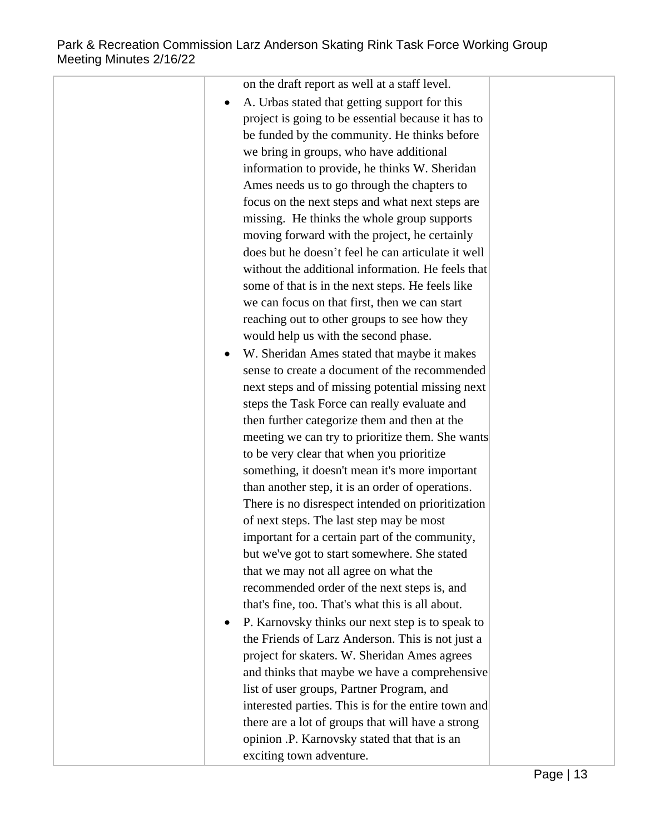| on the draft report as well at a staff level.<br>A. Urbas stated that getting support for this<br>project is going to be essential because it has to<br>be funded by the community. He thinks before<br>we bring in groups, who have additional<br>information to provide, he thinks W. Sheridan<br>Ames needs us to go through the chapters to<br>focus on the next steps and what next steps are<br>missing. He thinks the whole group supports<br>moving forward with the project, he certainly<br>does but he doesn't feel he can articulate it well<br>without the additional information. He feels that<br>some of that is in the next steps. He feels like<br>we can focus on that first, then we can start<br>reaching out to other groups to see how they<br>would help us with the second phase.<br>W. Sheridan Ames stated that maybe it makes<br>sense to create a document of the recommended<br>next steps and of missing potential missing next<br>steps the Task Force can really evaluate and<br>then further categorize them and then at the<br>meeting we can try to prioritize them. She wants<br>to be very clear that when you prioritize<br>something, it doesn't mean it's more important<br>than another step, it is an order of operations.<br>There is no disrespect intended on prioritization<br>of next steps. The last step may be most<br>important for a certain part of the community,<br>but we've got to start somewhere. She stated |
|--------------------------------------------------------------------------------------------------------------------------------------------------------------------------------------------------------------------------------------------------------------------------------------------------------------------------------------------------------------------------------------------------------------------------------------------------------------------------------------------------------------------------------------------------------------------------------------------------------------------------------------------------------------------------------------------------------------------------------------------------------------------------------------------------------------------------------------------------------------------------------------------------------------------------------------------------------------------------------------------------------------------------------------------------------------------------------------------------------------------------------------------------------------------------------------------------------------------------------------------------------------------------------------------------------------------------------------------------------------------------------------------------------------------------------------------------------------------------|
|                                                                                                                                                                                                                                                                                                                                                                                                                                                                                                                                                                                                                                                                                                                                                                                                                                                                                                                                                                                                                                                                                                                                                                                                                                                                                                                                                                                                                                                                          |
|                                                                                                                                                                                                                                                                                                                                                                                                                                                                                                                                                                                                                                                                                                                                                                                                                                                                                                                                                                                                                                                                                                                                                                                                                                                                                                                                                                                                                                                                          |
|                                                                                                                                                                                                                                                                                                                                                                                                                                                                                                                                                                                                                                                                                                                                                                                                                                                                                                                                                                                                                                                                                                                                                                                                                                                                                                                                                                                                                                                                          |
|                                                                                                                                                                                                                                                                                                                                                                                                                                                                                                                                                                                                                                                                                                                                                                                                                                                                                                                                                                                                                                                                                                                                                                                                                                                                                                                                                                                                                                                                          |
|                                                                                                                                                                                                                                                                                                                                                                                                                                                                                                                                                                                                                                                                                                                                                                                                                                                                                                                                                                                                                                                                                                                                                                                                                                                                                                                                                                                                                                                                          |
|                                                                                                                                                                                                                                                                                                                                                                                                                                                                                                                                                                                                                                                                                                                                                                                                                                                                                                                                                                                                                                                                                                                                                                                                                                                                                                                                                                                                                                                                          |
|                                                                                                                                                                                                                                                                                                                                                                                                                                                                                                                                                                                                                                                                                                                                                                                                                                                                                                                                                                                                                                                                                                                                                                                                                                                                                                                                                                                                                                                                          |
|                                                                                                                                                                                                                                                                                                                                                                                                                                                                                                                                                                                                                                                                                                                                                                                                                                                                                                                                                                                                                                                                                                                                                                                                                                                                                                                                                                                                                                                                          |
|                                                                                                                                                                                                                                                                                                                                                                                                                                                                                                                                                                                                                                                                                                                                                                                                                                                                                                                                                                                                                                                                                                                                                                                                                                                                                                                                                                                                                                                                          |
|                                                                                                                                                                                                                                                                                                                                                                                                                                                                                                                                                                                                                                                                                                                                                                                                                                                                                                                                                                                                                                                                                                                                                                                                                                                                                                                                                                                                                                                                          |
|                                                                                                                                                                                                                                                                                                                                                                                                                                                                                                                                                                                                                                                                                                                                                                                                                                                                                                                                                                                                                                                                                                                                                                                                                                                                                                                                                                                                                                                                          |
|                                                                                                                                                                                                                                                                                                                                                                                                                                                                                                                                                                                                                                                                                                                                                                                                                                                                                                                                                                                                                                                                                                                                                                                                                                                                                                                                                                                                                                                                          |
|                                                                                                                                                                                                                                                                                                                                                                                                                                                                                                                                                                                                                                                                                                                                                                                                                                                                                                                                                                                                                                                                                                                                                                                                                                                                                                                                                                                                                                                                          |
|                                                                                                                                                                                                                                                                                                                                                                                                                                                                                                                                                                                                                                                                                                                                                                                                                                                                                                                                                                                                                                                                                                                                                                                                                                                                                                                                                                                                                                                                          |
|                                                                                                                                                                                                                                                                                                                                                                                                                                                                                                                                                                                                                                                                                                                                                                                                                                                                                                                                                                                                                                                                                                                                                                                                                                                                                                                                                                                                                                                                          |
|                                                                                                                                                                                                                                                                                                                                                                                                                                                                                                                                                                                                                                                                                                                                                                                                                                                                                                                                                                                                                                                                                                                                                                                                                                                                                                                                                                                                                                                                          |
|                                                                                                                                                                                                                                                                                                                                                                                                                                                                                                                                                                                                                                                                                                                                                                                                                                                                                                                                                                                                                                                                                                                                                                                                                                                                                                                                                                                                                                                                          |
|                                                                                                                                                                                                                                                                                                                                                                                                                                                                                                                                                                                                                                                                                                                                                                                                                                                                                                                                                                                                                                                                                                                                                                                                                                                                                                                                                                                                                                                                          |
|                                                                                                                                                                                                                                                                                                                                                                                                                                                                                                                                                                                                                                                                                                                                                                                                                                                                                                                                                                                                                                                                                                                                                                                                                                                                                                                                                                                                                                                                          |
|                                                                                                                                                                                                                                                                                                                                                                                                                                                                                                                                                                                                                                                                                                                                                                                                                                                                                                                                                                                                                                                                                                                                                                                                                                                                                                                                                                                                                                                                          |
|                                                                                                                                                                                                                                                                                                                                                                                                                                                                                                                                                                                                                                                                                                                                                                                                                                                                                                                                                                                                                                                                                                                                                                                                                                                                                                                                                                                                                                                                          |
|                                                                                                                                                                                                                                                                                                                                                                                                                                                                                                                                                                                                                                                                                                                                                                                                                                                                                                                                                                                                                                                                                                                                                                                                                                                                                                                                                                                                                                                                          |
|                                                                                                                                                                                                                                                                                                                                                                                                                                                                                                                                                                                                                                                                                                                                                                                                                                                                                                                                                                                                                                                                                                                                                                                                                                                                                                                                                                                                                                                                          |
|                                                                                                                                                                                                                                                                                                                                                                                                                                                                                                                                                                                                                                                                                                                                                                                                                                                                                                                                                                                                                                                                                                                                                                                                                                                                                                                                                                                                                                                                          |
|                                                                                                                                                                                                                                                                                                                                                                                                                                                                                                                                                                                                                                                                                                                                                                                                                                                                                                                                                                                                                                                                                                                                                                                                                                                                                                                                                                                                                                                                          |
|                                                                                                                                                                                                                                                                                                                                                                                                                                                                                                                                                                                                                                                                                                                                                                                                                                                                                                                                                                                                                                                                                                                                                                                                                                                                                                                                                                                                                                                                          |
|                                                                                                                                                                                                                                                                                                                                                                                                                                                                                                                                                                                                                                                                                                                                                                                                                                                                                                                                                                                                                                                                                                                                                                                                                                                                                                                                                                                                                                                                          |
|                                                                                                                                                                                                                                                                                                                                                                                                                                                                                                                                                                                                                                                                                                                                                                                                                                                                                                                                                                                                                                                                                                                                                                                                                                                                                                                                                                                                                                                                          |
|                                                                                                                                                                                                                                                                                                                                                                                                                                                                                                                                                                                                                                                                                                                                                                                                                                                                                                                                                                                                                                                                                                                                                                                                                                                                                                                                                                                                                                                                          |
| that we may not all agree on what the                                                                                                                                                                                                                                                                                                                                                                                                                                                                                                                                                                                                                                                                                                                                                                                                                                                                                                                                                                                                                                                                                                                                                                                                                                                                                                                                                                                                                                    |
| recommended order of the next steps is, and                                                                                                                                                                                                                                                                                                                                                                                                                                                                                                                                                                                                                                                                                                                                                                                                                                                                                                                                                                                                                                                                                                                                                                                                                                                                                                                                                                                                                              |
| that's fine, too. That's what this is all about.                                                                                                                                                                                                                                                                                                                                                                                                                                                                                                                                                                                                                                                                                                                                                                                                                                                                                                                                                                                                                                                                                                                                                                                                                                                                                                                                                                                                                         |
| P. Karnovsky thinks our next step is to speak to                                                                                                                                                                                                                                                                                                                                                                                                                                                                                                                                                                                                                                                                                                                                                                                                                                                                                                                                                                                                                                                                                                                                                                                                                                                                                                                                                                                                                         |
| the Friends of Larz Anderson. This is not just a                                                                                                                                                                                                                                                                                                                                                                                                                                                                                                                                                                                                                                                                                                                                                                                                                                                                                                                                                                                                                                                                                                                                                                                                                                                                                                                                                                                                                         |
| project for skaters. W. Sheridan Ames agrees                                                                                                                                                                                                                                                                                                                                                                                                                                                                                                                                                                                                                                                                                                                                                                                                                                                                                                                                                                                                                                                                                                                                                                                                                                                                                                                                                                                                                             |
| and thinks that maybe we have a comprehensive                                                                                                                                                                                                                                                                                                                                                                                                                                                                                                                                                                                                                                                                                                                                                                                                                                                                                                                                                                                                                                                                                                                                                                                                                                                                                                                                                                                                                            |
| list of user groups, Partner Program, and                                                                                                                                                                                                                                                                                                                                                                                                                                                                                                                                                                                                                                                                                                                                                                                                                                                                                                                                                                                                                                                                                                                                                                                                                                                                                                                                                                                                                                |
| interested parties. This is for the entire town and                                                                                                                                                                                                                                                                                                                                                                                                                                                                                                                                                                                                                                                                                                                                                                                                                                                                                                                                                                                                                                                                                                                                                                                                                                                                                                                                                                                                                      |
| there are a lot of groups that will have a strong                                                                                                                                                                                                                                                                                                                                                                                                                                                                                                                                                                                                                                                                                                                                                                                                                                                                                                                                                                                                                                                                                                                                                                                                                                                                                                                                                                                                                        |
| opinion .P. Karnovsky stated that that is an                                                                                                                                                                                                                                                                                                                                                                                                                                                                                                                                                                                                                                                                                                                                                                                                                                                                                                                                                                                                                                                                                                                                                                                                                                                                                                                                                                                                                             |
| exciting town adventure.                                                                                                                                                                                                                                                                                                                                                                                                                                                                                                                                                                                                                                                                                                                                                                                                                                                                                                                                                                                                                                                                                                                                                                                                                                                                                                                                                                                                                                                 |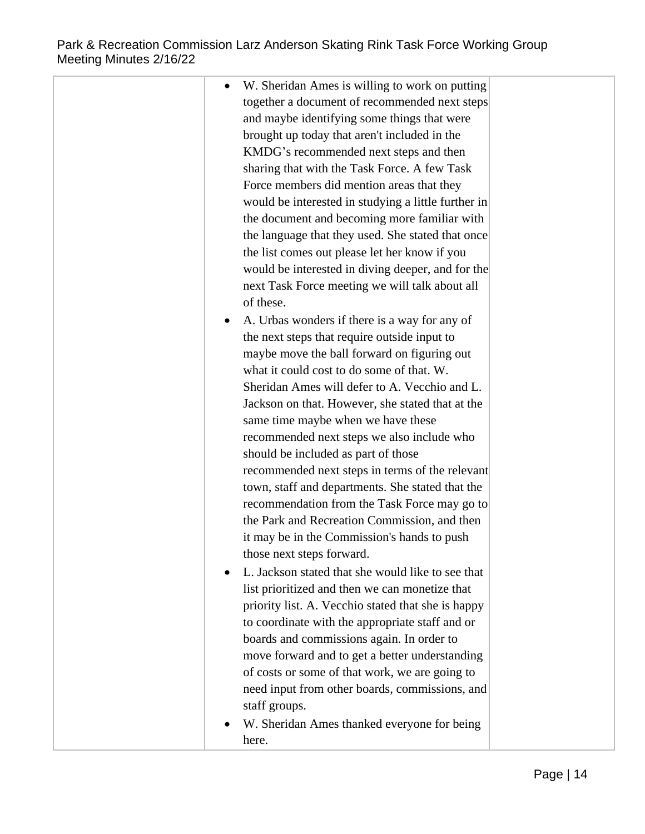| W. Sheridan Ames is willing to work on putting      |  |
|-----------------------------------------------------|--|
| together a document of recommended next steps       |  |
| and maybe identifying some things that were         |  |
| brought up today that aren't included in the        |  |
| KMDG's recommended next steps and then              |  |
| sharing that with the Task Force. A few Task        |  |
| Force members did mention areas that they           |  |
| would be interested in studying a little further in |  |
| the document and becoming more familiar with        |  |
| the language that they used. She stated that once   |  |
| the list comes out please let her know if you       |  |
| would be interested in diving deeper, and for the   |  |
| next Task Force meeting we will talk about all      |  |
| of these.                                           |  |
| A. Urbas wonders if there is a way for any of       |  |
| the next steps that require outside input to        |  |
| maybe move the ball forward on figuring out         |  |
| what it could cost to do some of that. W.           |  |
| Sheridan Ames will defer to A. Vecchio and L.       |  |
| Jackson on that. However, she stated that at the    |  |
| same time maybe when we have these                  |  |
| recommended next steps we also include who          |  |
| should be included as part of those                 |  |
| recommended next steps in terms of the relevant     |  |
| town, staff and departments. She stated that the    |  |
| recommendation from the Task Force may go to        |  |
| the Park and Recreation Commission, and then        |  |
| it may be in the Commission's hands to push         |  |
| those next steps forward.                           |  |
| L. Jackson stated that she would like to see that   |  |
| list prioritized and then we can monetize that      |  |
| priority list. A. Vecchio stated that she is happy  |  |
| to coordinate with the appropriate staff and or     |  |
| boards and commissions again. In order to           |  |
| move forward and to get a better understanding      |  |
| of costs or some of that work, we are going to      |  |
| need input from other boards, commissions, and      |  |
| staff groups.                                       |  |
| W. Sheridan Ames thanked everyone for being         |  |
| here.                                               |  |